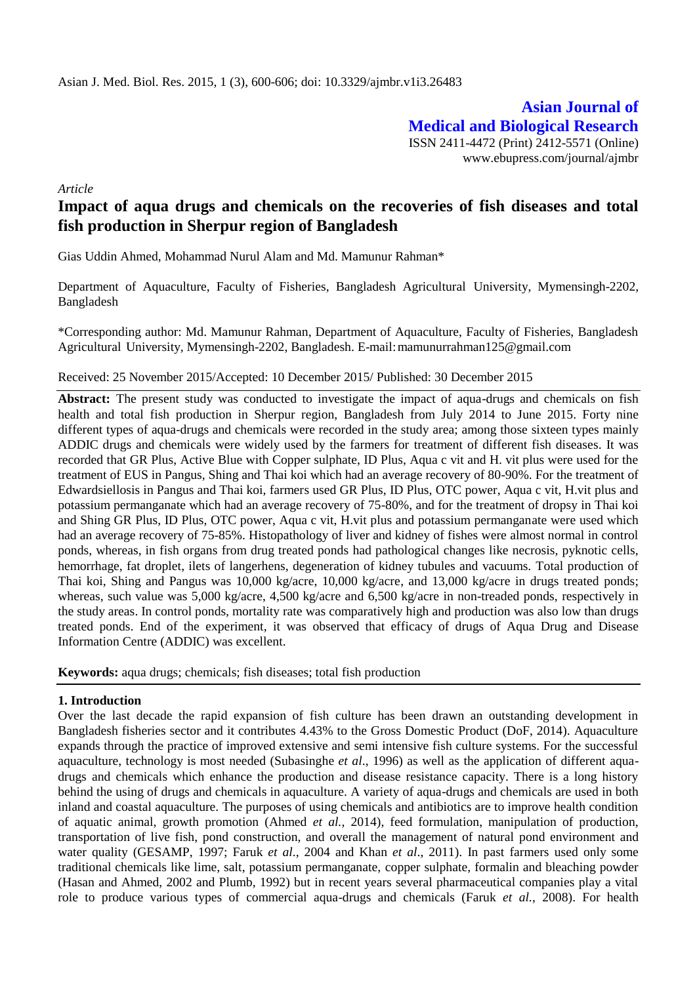**Asian Journal of Medical and Biological Research** ISSN 2411-4472 (Print) 2412-5571 (Online) www.ebupress.com/journal/ajmbr

*Article*

# **Impact of aqua drugs and chemicals on the recoveries of fish diseases and total fish production in Sherpur region of Bangladesh**

Gias Uddin Ahmed, Mohammad Nurul Alam and Md. Mamunur Rahman\*

Department of Aquaculture, Faculty of Fisheries, Bangladesh Agricultural University, Mymensingh-2202, Bangladesh

\*Corresponding author: Md. Mamunur Rahman, Department of Aquaculture, Faculty of Fisheries, Bangladesh Agricultural University, Mymensingh-2202, Bangladesh. E-mail[:mamunurrahman125@gmail.com](mailto:mamunurrahman125@gmail.com)

## Received: 25 November 2015/Accepted: 10 December 2015/ Published: 30 December 2015

Abstract: The present study was conducted to investigate the impact of aqua-drugs and chemicals on fish health and total fish production in Sherpur region, Bangladesh from July 2014 to June 2015. Forty nine different types of aqua-drugs and chemicals were recorded in the study area; among those sixteen types mainly ADDIC drugs and chemicals were widely used by the farmers for treatment of different fish diseases. It was recorded that GR Plus, Active Blue with Copper sulphate, ID Plus, Aqua c vit and H. vit plus were used for the treatment of EUS in Pangus, Shing and Thai koi which had an average recovery of 80-90%. For the treatment of Edwardsiellosis in Pangus and Thai koi, farmers used GR Plus, ID Plus, OTC power, Aqua c vit, H.vit plus and potassium permanganate which had an average recovery of 75-80%, and for the treatment of dropsy in Thai koi and Shing GR Plus, ID Plus, OTC power, Aqua c vit, H.vit plus and potassium permanganate were used which had an average recovery of 75-85%. Histopathology of liver and kidney of fishes were almost normal in control ponds, whereas, in fish organs from drug treated ponds had pathological changes like necrosis, pyknotic cells, hemorrhage, fat droplet, ilets of langerhens, degeneration of kidney tubules and vacuums. Total production of Thai koi, Shing and Pangus was 10,000 kg/acre, 10,000 kg/acre, and 13,000 kg/acre in drugs treated ponds; whereas, such value was 5,000 kg/acre, 4,500 kg/acre and 6,500 kg/acre in non-treaded ponds, respectively in the study areas. In control ponds, mortality rate was comparatively high and production was also low than drugs treated ponds. End of the experiment, it was observed that efficacy of drugs of Aqua Drug and Disease Information Centre (ADDIC) was excellent.

**Keywords:** aqua drugs; chemicals; fish diseases; total fish production

# **1. Introduction**

Over the last decade the rapid expansion of fish culture has been drawn an outstanding development in Bangladesh fisheries sector and it contributes 4.43% to the Gross Domestic Product (DoF, 2014). Aquaculture expands through the practice of improved extensive and semi intensive fish culture systems. For the successful aquaculture, technology is most needed (Subasinghe *et al*., 1996) as well as the application of different aquadrugs and chemicals which enhance the production and disease resistance capacity. There is a long history behind the using of drugs and chemicals in aquaculture. A variety of aqua-drugs and chemicals are used in both inland and coastal aquaculture. The purposes of using chemicals and antibiotics are to improve health condition of aquatic animal, growth promotion (Ahmed *et al.,* 2014), feed formulation, manipulation of production, transportation of live fish, pond construction, and overall the management of natural pond environment and water quality (GESAMP, 1997; Faruk *et al*., 2004 and Khan *et al*., 2011). In past farmers used only some traditional chemicals like lime, salt, potassium permanganate, copper sulphate, formalin and bleaching powder (Hasan and Ahmed, 2002 and Plumb, 1992) but in recent years several pharmaceutical companies play a vital role to produce various types of commercial aqua-drugs and chemicals (Faruk *et al.*, 2008). For health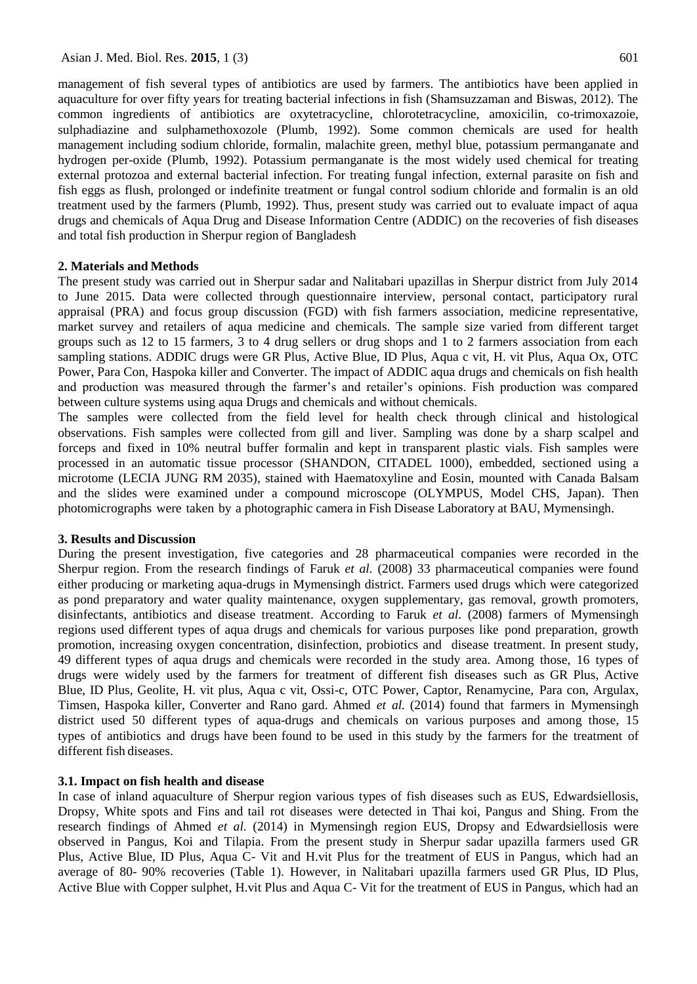management of fish several types of antibiotics are used by farmers. The antibiotics have been applied in aquaculture for over fifty years for treating bacterial infections in fish (Shamsuzzaman and Biswas, 2012). The common ingredients of antibiotics are oxytetracycline, chlorotetracycline, amoxicilin, co-trimoxazoie, sulphadiazine and sulphamethoxozole (Plumb, 1992). Some common chemicals are used for health management including sodium chloride, formalin, malachite green, methyl blue, potassium permanganate and hydrogen per-oxide (Plumb, 1992). Potassium permanganate is the most widely used chemical for treating external protozoa and external bacterial infection. For treating fungal infection, external parasite on fish and fish eggs as flush, prolonged or indefinite treatment or fungal control sodium chloride and formalin is an old treatment used by the farmers (Plumb, 1992). Thus, present study was carried out to evaluate impact of aqua drugs and chemicals of Aqua Drug and Disease Information Centre (ADDIC) on the recoveries of fish diseases and total fish production in Sherpur region of Bangladesh

## **2. Materials and Methods**

The present study was carried out in Sherpur sadar and Nalitabari upazillas in Sherpur district from July 2014 to June 2015. Data were collected through questionnaire interview, personal contact, participatory rural appraisal (PRA) and focus group discussion (FGD) with fish farmers association, medicine representative, market survey and retailers of aqua medicine and chemicals. The sample size varied from different target groups such as 12 to 15 farmers, 3 to 4 drug sellers or drug shops and 1 to 2 farmers association from each sampling stations. ADDIC drugs were GR Plus, Active Blue, ID Plus, Aqua c vit, H. vit Plus, Aqua Ox, OTC Power, Para Con, Haspoka killer and Converter. The impact of ADDIC aqua drugs and chemicals on fish health and production was measured through the farmer's and retailer's opinions. Fish production was compared between culture systems using aqua Drugs and chemicals and without chemicals.

The samples were collected from the field level for health check through clinical and histological observations. Fish samples were collected from gill and liver. Sampling was done by a sharp scalpel and forceps and fixed in 10% neutral buffer formalin and kept in transparent plastic vials. Fish samples were processed in an automatic tissue processor (SHANDON, CITADEL 1000), embedded, sectioned using a microtome (LECIA JUNG RM 2035), stained with Haematoxyline and Eosin, mounted with Canada Balsam and the slides were examined under a compound microscope (OLYMPUS, Model CHS, Japan). Then photomicrographs were taken by a photographic camera in Fish Disease Laboratory at BAU, Mymensingh.

## **3. Results and Discussion**

During the present investigation, five categories and 28 pharmaceutical companies were recorded in the Sherpur region. From the research findings of Faruk *et al.* (2008) 33 pharmaceutical companies were found either producing or marketing aqua-drugs in Mymensingh district. Farmers used drugs which were categorized as pond preparatory and water quality maintenance, oxygen supplementary, gas removal, growth promoters, disinfectants, antibiotics and disease treatment. According to Faruk *et al.* (2008) farmers of Mymensingh regions used different types of aqua drugs and chemicals for various purposes like pond preparation, growth promotion, increasing oxygen concentration, disinfection, probiotics and disease treatment. In present study, 49 different types of aqua drugs and chemicals were recorded in the study area. Among those, 16 types of drugs were widely used by the farmers for treatment of different fish diseases such as GR Plus, Active Blue, ID Plus, Geolite, H. vit plus, Aqua c vit, Ossi-c, OTC Power, Captor, Renamycine, Para con, Argulax, Timsen, Haspoka killer, Converter and Rano gard. Ahmed *et al.* (2014) found that farmers in Mymensingh district used 50 different types of aqua-drugs and chemicals on various purposes and among those, 15 types of antibiotics and drugs have been found to be used in this study by the farmers for the treatment of different fish diseases.

## **3.1. Impact on fish health and disease**

In case of inland aquaculture of Sherpur region various types of fish diseases such as EUS, Edwardsiellosis, Dropsy, White spots and Fins and tail rot diseases were detected in Thai koi, Pangus and Shing. From the research findings of Ahmed *et al.* (2014) in Mymensingh region EUS, Dropsy and Edwardsiellosis were observed in Pangus, Koi and Tilapia. From the present study in Sherpur sadar upazilla farmers used GR Plus, Active Blue, ID Plus, Aqua C- Vit and H.vit Plus for the treatment of EUS in Pangus, which had an average of 80- 90% recoveries (Table 1). However, in Nalitabari upazilla farmers used GR Plus, ID Plus, Active Blue with Copper sulphet, H.vit Plus and Aqua C- Vit for the treatment of EUS in Pangus, which had an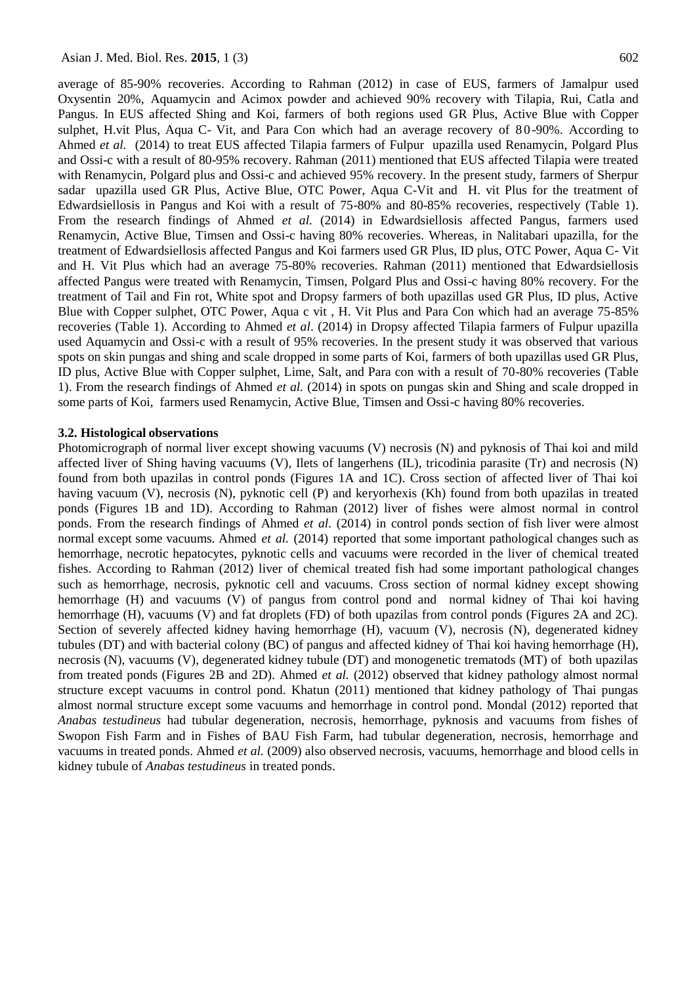average of 85-90% recoveries. According to Rahman (2012) in case of EUS, farmers of Jamalpur used Oxysentin 20%, Aquamycin and Acimox powder and achieved 90% recovery with Tilapia, Rui, Catla and Pangus. In EUS affected Shing and Koi, farmers of both regions used GR Plus, Active Blue with Copper sulphet, H.vit Plus, Aqua C- Vit, and Para Con which had an average recovery of 80-90%. According to Ahmed *et al.* (2014) to treat EUS affected Tilapia farmers of Fulpur upazilla used Renamycin, Polgard Plus and Ossi-c with a result of 80-95% recovery. Rahman (2011) mentioned that EUS affected Tilapia were treated with Renamycin, Polgard plus and Ossi-c and achieved 95% recovery. In the present study, farmers of Sherpur sadar upazilla used GR Plus, Active Blue, OTC Power, Aqua C-Vit and H. vit Plus for the treatment of Edwardsiellosis in Pangus and Koi with a result of 75-80% and 80-85% recoveries, respectively (Table 1). From the research findings of Ahmed *et al.* (2014) in Edwardsiellosis affected Pangus, farmers used Renamycin, Active Blue, Timsen and Ossi-c having 80% recoveries. Whereas, in Nalitabari upazilla, for the treatment of Edwardsiellosis affected Pangus and Koi farmers used GR Plus, ID plus, OTC Power, Aqua C- Vit and H. Vit Plus which had an average 75-80% recoveries. Rahman (2011) mentioned that Edwardsiellosis affected Pangus were treated with Renamycin, Timsen, Polgard Plus and Ossi-c having 80% recovery. For the treatment of Tail and Fin rot, White spot and Dropsy farmers of both upazillas used GR Plus, ID plus, Active Blue with Copper sulphet, OTC Power, Aqua c vit , H. Vit Plus and Para Con which had an average 75-85% recoveries (Table 1). According to Ahmed *et al*. (2014) in Dropsy affected Tilapia farmers of Fulpur upazilla used Aquamycin and Ossi-c with a result of 95% recoveries. In the present study it was observed that various spots on skin pungas and shing and scale dropped in some parts of Koi, farmers of both upazillas used GR Plus, ID plus, Active Blue with Copper sulphet, Lime, Salt, and Para con with a result of 70-80% recoveries (Table 1). From the research findings of Ahmed *et al.* (2014) in spots on pungas skin and Shing and scale dropped in some parts of Koi, farmers used Renamycin, Active Blue, Timsen and Ossi-c having 80% recoveries.

## **3.2. Histological observations**

Photomicrograph of normal liver except showing vacuums (V) necrosis (N) and pyknosis of Thai koi and mild affected liver of Shing having vacuums (V), Ilets of langerhens (IL), tricodinia parasite (Tr) and necrosis (N) found from both upazilas in control ponds (Figures 1A and 1C). Cross section of affected liver of Thai koi having vacuum (V), necrosis (N), pyknotic cell (P) and keryorhexis (Kh) found from both upazilas in treated ponds (Figures 1B and 1D). According to Rahman (2012) liver of fishes were almost normal in control ponds. From the research findings of Ahmed *et al.* (2014) in control ponds section of fish liver were almost normal except some vacuums. Ahmed *et al.* (2014) reported that some important pathological changes such as hemorrhage, necrotic hepatocytes, pyknotic cells and vacuums were recorded in the liver of chemical treated fishes. According to Rahman (2012) liver of chemical treated fish had some important pathological changes such as hemorrhage, necrosis, pyknotic cell and vacuums. Cross section of normal kidney except showing hemorrhage (H) and vacuums (V) of pangus from control pond and normal kidney of Thai koi having hemorrhage (H), vacuums (V) and fat droplets (FD) of both upazilas from control ponds (Figures 2A and 2C). Section of severely affected kidney having hemorrhage (H), vacuum (V), necrosis (N), degenerated kidney tubules (DT) and with bacterial colony (BC) of pangus and affected kidney of Thai koi having hemorrhage (H), necrosis (N), vacuums (V), degenerated kidney tubule (DT) and monogenetic trematods (MT) of both upazilas from treated ponds (Figures 2B and 2D). Ahmed *et al.* (2012) observed that kidney pathology almost normal structure except vacuums in control pond. Khatun (2011) mentioned that kidney pathology of Thai pungas almost normal structure except some vacuums and hemorrhage in control pond. Mondal (2012) reported that *Anabas testudineus* had tubular degeneration, necrosis, hemorrhage, pyknosis and vacuums from fishes of Swopon Fish Farm and in Fishes of BAU Fish Farm, had tubular degeneration, necrosis, hemorrhage and vacuums in treated ponds. Ahmed *et al.* (2009) also observed necrosis, vacuums, hemorrhage and blood cells in kidney tubule of *Anabas testudineus* in treated ponds.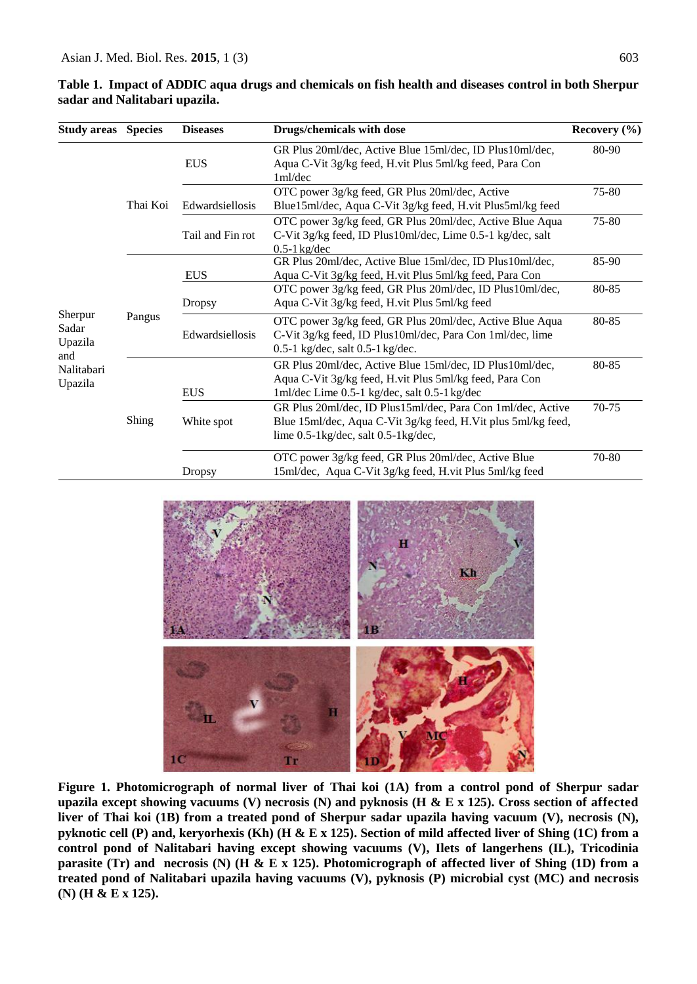| <b>Study areas</b>                                          | <b>Species</b> | <b>Diseases</b>  | <b>Drugs/chemicals with dose</b>                                                                                                                                          | Recovery $(\% )$ |
|-------------------------------------------------------------|----------------|------------------|---------------------------------------------------------------------------------------------------------------------------------------------------------------------------|------------------|
|                                                             | Thai Koi       | <b>EUS</b>       | GR Plus 20ml/dec, Active Blue 15ml/dec, ID Plus10ml/dec,<br>Aqua C-Vit 3g/kg feed, H.vit Plus 5ml/kg feed, Para Con<br>1ml/dec                                            | 80-90            |
|                                                             |                | Edwardsiellosis  | OTC power 3g/kg feed, GR Plus 20ml/dec, Active<br>Blue15ml/dec, Aqua C-Vit 3g/kg feed, H.vit Plus5ml/kg feed                                                              | 75-80            |
|                                                             |                | Tail and Fin rot | OTC power 3g/kg feed, GR Plus 20ml/dec, Active Blue Aqua<br>C-Vit 3g/kg feed, ID Plus10ml/dec, Lime 0.5-1 kg/dec, salt<br>$0.5-1$ kg/dec                                  | 75-80            |
| Sherpur<br>Sadar<br>Upazila<br>and<br>Nalitabari<br>Upazila | Pangus         | <b>EUS</b>       | GR Plus 20ml/dec, Active Blue 15ml/dec, ID Plus10ml/dec,<br>Aqua C-Vit 3g/kg feed, H.vit Plus 5ml/kg feed, Para Con                                                       | 85-90            |
|                                                             |                | <b>Dropsy</b>    | OTC power 3g/kg feed, GR Plus 20ml/dec, ID Plus10ml/dec,<br>Aqua C-Vit 3g/kg feed, H.vit Plus 5ml/kg feed                                                                 | 80-85            |
|                                                             |                | Edwardsiellosis  | OTC power 3g/kg feed, GR Plus 20ml/dec, Active Blue Aqua<br>C-Vit 3g/kg feed, ID Plus10ml/dec, Para Con 1ml/dec, lime<br>$0.5-1$ kg/dec, salt $0.5-1$ kg/dec.             | 80-85            |
|                                                             | Shing          | <b>EUS</b>       | GR Plus 20ml/dec, Active Blue 15ml/dec, ID Plus10ml/dec,<br>Aqua C-Vit 3g/kg feed, H.vit Plus 5ml/kg feed, Para Con<br>1ml/dec Lime 0.5-1 kg/dec, salt 0.5-1 kg/dec       | 80-85            |
|                                                             |                | White spot       | GR Plus 20ml/dec, ID Plus15ml/dec, Para Con 1ml/dec, Active<br>Blue 15ml/dec, Aqua C-Vit 3g/kg feed, H.Vit plus 5ml/kg feed,<br>lime $0.5$ -1kg/dec, salt $0.5$ -1kg/dec, | 70-75            |
|                                                             |                | Dropsy           | OTC power 3g/kg feed, GR Plus 20ml/dec, Active Blue<br>15ml/dec, Aqua C-Vit 3g/kg feed, H.vit Plus 5ml/kg feed                                                            | 70-80            |

**Table 1. Impact of ADDIC aqua drugs and chemicals on fish health and diseases control in both Sherpur sadar and Nalitabari upazila.**



**Figure 1. Photomicrograph of normal liver of Thai koi (1A) from a control pond of Sherpur sadar upazila except showing vacuums (V) necrosis (N) and pyknosis (H & E x 125). Cross section of affected liver of Thai koi (1B) from a treated pond of Sherpur sadar upazila having vacuum (V), necrosis (N), pyknotic cell (P) and, keryorhexis (Kh) (H & E x 125). Section of mild affected liver of Shing (1C) from a control pond of Nalitabari having except showing vacuums (V), Ilets of langerhens (IL), Tricodinia parasite (Tr) and necrosis (N) (H & E x 125). Photomicrograph of affected liver of Shing (1D) from a treated pond of Nalitabari upazila having vacuums (V), pyknosis (P) microbial cyst (MC) and necrosis (N) (H & E x 125).**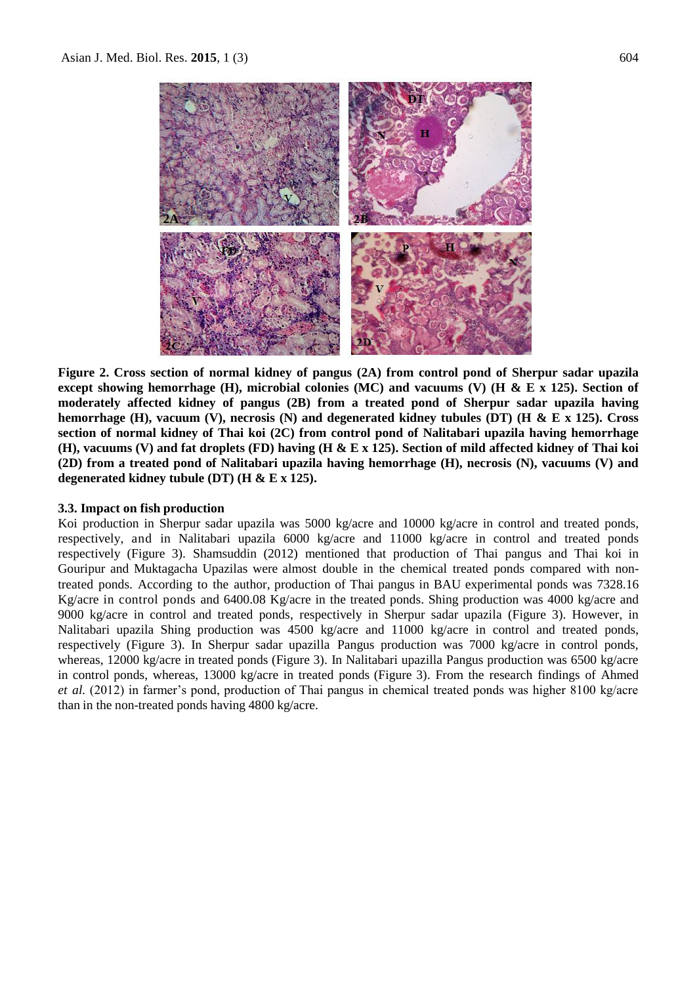

**Figure 2. Cross section of normal kidney of pangus (2A) from control pond of Sherpur sadar upazila except showing hemorrhage (H), microbial colonies (MC) and vacuums (V) (H & E x 125). Section of moderately affected kidney of pangus (2B) from a treated pond of Sherpur sadar upazila having hemorrhage (H), vacuum (V), necrosis (N) and degenerated kidney tubules (DT) (H & E x 125). Cross section of normal kidney of Thai koi (2C) from control pond of Nalitabari upazila having hemorrhage (H), vacuums (V) and fat droplets (FD) having (H & E x 125). Section of mild affected kidney of Thai koi (2D) from a treated pond of Nalitabari upazila having hemorrhage (H), necrosis (N), vacuums (V) and degenerated kidney tubule (DT) (H & E x 125).**

# **3.3. Impact on fish production**

Koi production in Sherpur sadar upazila was 5000 kg/acre and 10000 kg/acre in control and treated ponds, respectively, and in Nalitabari upazila 6000 kg/acre and 11000 kg/acre in control and treated ponds respectively (Figure 3). Shamsuddin (2012) mentioned that production of Thai pangus and Thai koi in Gouripur and Muktagacha Upazilas were almost double in the chemical treated ponds compared with nontreated ponds. According to the author, production of Thai pangus in BAU experimental ponds was 7328.16 Kg/acre in control ponds and 6400.08 Kg/acre in the treated ponds. Shing production was 4000 kg/acre and 9000 kg/acre in control and treated ponds, respectively in Sherpur sadar upazila (Figure 3). However, in Nalitabari upazila Shing production was 4500 kg/acre and 11000 kg/acre in control and treated ponds, respectively (Figure 3). In Sherpur sadar upazilla Pangus production was 7000 kg/acre in control ponds, whereas, 12000 kg/acre in treated ponds (Figure 3). In Nalitabari upazilla Pangus production was 6500 kg/acre in control ponds, whereas, 13000 kg/acre in treated ponds (Figure 3). From the research findings of Ahmed *et al.* (2012) in farmer's pond, production of Thai pangus in chemical treated ponds was higher 8100 kg/acre than in the non-treated ponds having 4800 kg/acre.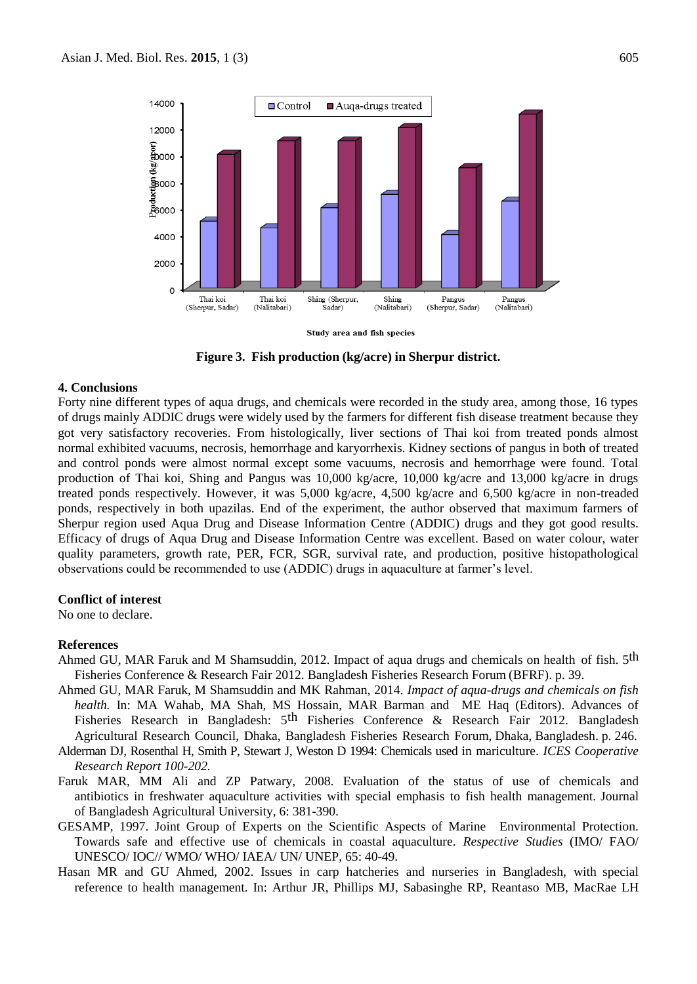

Study area and fish species

**Figure 3. Fish production (kg/acre) in Sherpur district.**

#### **4. Conclusions**

Forty nine different types of aqua drugs, and chemicals were recorded in the study area, among those, 16 types of drugs mainly ADDIC drugs were widely used by the farmers for different fish disease treatment because they got very satisfactory recoveries. From histologically, liver sections of Thai koi from treated ponds almost normal exhibited vacuums, necrosis, hemorrhage and karyorrhexis. Kidney sections of pangus in both of treated and control ponds were almost normal except some vacuums, necrosis and hemorrhage were found. Total production of Thai koi, Shing and Pangus was 10,000 kg/acre, 10,000 kg/acre and 13,000 kg/acre in drugs treated ponds respectively. However, it was 5,000 kg/acre, 4,500 kg/acre and 6,500 kg/acre in non-treaded ponds, respectively in both upazilas. End of the experiment, the author observed that maximum farmers of Sherpur region used Aqua Drug and Disease Information Centre (ADDIC) drugs and they got good results. Efficacy of drugs of Aqua Drug and Disease Information Centre was excellent. Based on water colour, water quality parameters, growth rate, PER, FCR, SGR, survival rate, and production, positive histopathological observations could be recommended to use (ADDIC) drugs in aquaculture at farmer's level.

#### **Conflict of interest**

No one to declare.

#### **References**

- Ahmed GU, MAR Faruk and M Shamsuddin, 2012. Impact of aqua drugs and chemicals on health of fish. 5<sup>th</sup> Fisheries Conference & Research Fair 2012. Bangladesh Fisheries Research Forum (BFRF). p. 39.
- Ahmed GU, MAR Faruk, M Shamsuddin and MK Rahman, 2014. *Impact of aqua-drugs and chemicals on fish health.* In: MA Wahab, MA Shah, MS Hossain, MAR Barman and ME Haq (Editors). Advances of Fisheries Research in Bangladesh: 5<sup>th</sup> Fisheries Conference & Research Fair 2012. Bangladesh Agricultural Research Council, Dhaka, Bangladesh Fisheries Research Forum, Dhaka, Bangladesh. p. 246.
- Alderman DJ, Rosenthal H, Smith P, Stewart J, Weston D 1994: Chemicals used in mariculture. *ICES Cooperative Research Report 100-202.*
- Faruk MAR, MM Ali and ZP Patwary, 2008. Evaluation of the status of use of chemicals and antibiotics in freshwater aquaculture activities with special emphasis to fish health management. Journal of Bangladesh Agricultural University, 6: 381-390.
- GESAMP, 1997. Joint Group of Experts on the Scientific Aspects of Marine Environmental Protection. Towards safe and effective use of chemicals in coastal aquaculture. *Respective Studies* (IMO/ FAO/ UNESCO/ IOC// WMO/ WHO/ IAEA/ UN/ UNEP, 65: 40-49.
- Hasan MR and GU Ahmed, 2002. Issues in carp hatcheries and nurseries in Bangladesh, with special reference to health management. In: Arthur JR, Phillips MJ, Sabasinghe RP, Reantaso MB, MacRae LH